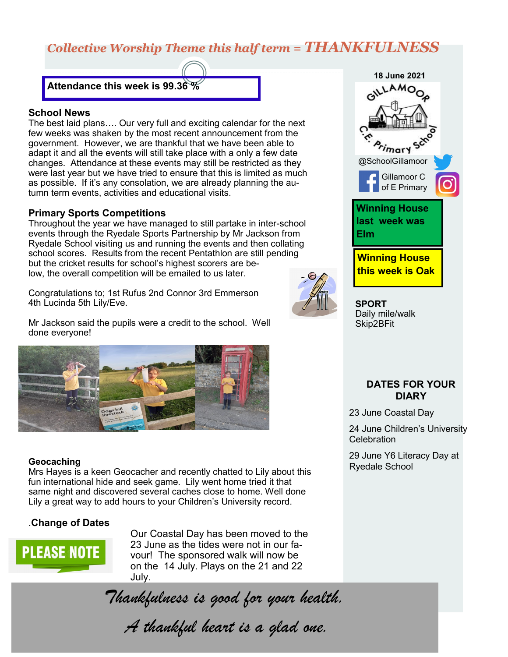# *Collective Worship Theme this half term = THANKFULNESS*

### **Attendance this week is 99.36 %**

#### **School News**

The best laid plans…. Our very full and exciting calendar for the next few weeks was shaken by the most recent announcement from the government. However, we are thankful that we have been able to adapt it and all the events will still take place with a only a few date changes. Attendance at these events may still be restricted as they were last year but we have tried to ensure that this is limited as much as possible. If it's any consolation, we are already planning the autumn term events, activities and educational visits.

#### **Primary Sports Competitions**

Throughout the year we have managed to still partake in inter-school events through the Ryedale Sports Partnership by Mr Jackson from Ryedale School visiting us and running the events and then collating school scores. Results from the recent Pentathlon are still pending but the cricket results for school's highest scorers are below, the overall competition will be emailed to us later.

Congratulations to; 1st Rufus 2nd Connor 3rd Emmerson 4th Lucinda 5th Lily/Eve.

Mr Jackson said the pupils were a credit to the school. Well done everyone!



#### **Geocaching**

Mrs Hayes is a keen Geocacher and recently chatted to Lily about this fun international hide and seek game. Lily went home tried it that same night and discovered several caches close to home. Well done Lily a great way to add hours to your Children's University record.

#### .**Change of Dates**



Our Coastal Day has been moved to the 23 June as the tides were not in our favour! The sponsored walk will now be on the 14 July. Plays on the 21 and 22 July.

*Thankfulness is good for your health.*

*A thankful heart is a glad one.*

**18 June 2021** .<br>mar Y @SchoolGillamoor Gillamoor C of E Primary **Winning House last week was Elm Winning House this week is Oak**

**SPORT** Daily mile/walk Skip2BFit

### **DATES FOR YOUR DIARY**

23 June Coastal Day

24 June Children's University **Celebration** 

29 June Y6 Literacy Day at Ryedale School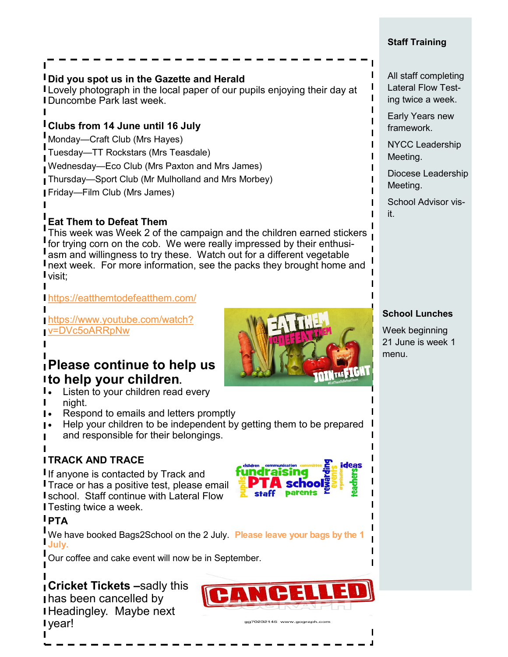### **Staff Training**

## **Did you spot us in the Gazette and Herald**

I Lovely photograph in the local paper of our pupils enjoying their day at Duncombe Park last week.

## **Clubs from 14 June until 16 July**

Monday—Craft Club (Mrs Hayes)

Tuesday—TT Rockstars (Mrs Teasdale)

Wednesday—Eco Club (Mrs Paxton and Mrs James)

Thursday—Sport Club (Mr Mulholland and Mrs Morbey)

Friday—Film Club (Mrs James)

# **Eat Them to Defeat Them**

This week was Week 2 of the campaign and the children earned stickers for trying corn on the cob. We were really impressed by their enthusiasm and willingness to try these. Watch out for a different vegetable **I** next week. For more information, see the packs they brought home and visit;

## <https://eatthemtodefeatthem.com/>

[https://www.youtube.com/watch?](https://www.youtube.com/watch?v=DVc5oARRpNw) [v=DVc5oARRpNw](https://www.youtube.com/watch?v=DVc5oARRpNw)

## **Please continue to help us to help your children.**

- **I.** Listen to your children read every night.
- **I**. Respond to emails and letters promptly
- Help your children to be independent by getting them to be prepared and responsible for their belongings.

## **TRACK AND TRACE**

If anyone is contacted by Track and **I** Trace or has a positive test, please email school. Staff continue with Lateral Flow **I** Testing twice a week.

## **PTA**

We have booked Bags2School on the 2 July. **Please leave your bags by the 1 July.** 

Our coffee and cake event will now be in September.

### **Cricket Tickets –**sadly this has been cancelled by Headingley. Maybe next I vear!



**A** schoo staff parents



### All staff completing Lateral Flow Testing twice a week.

Early Years new framework.

NYCC Leadership Meeting.

Diocese Leadership Meeting.

School Advisor visit.

## **School Lunches**

Week beginning 21 June is week 1 menu.

**DINTHEFIGHT**